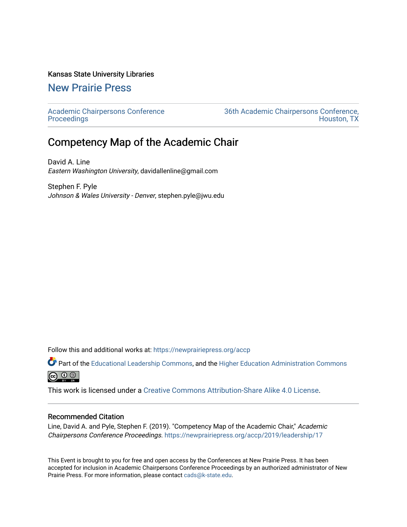## Kansas State University Libraries

## [New Prairie Press](https://newprairiepress.org/)

[Academic Chairpersons Conference](https://newprairiepress.org/accp)  **Proceedings** 

[36th Academic Chairpersons Conference,](https://newprairiepress.org/accp/2019)  [Houston, TX](https://newprairiepress.org/accp/2019) 

## Competency Map of the Academic Chair

David A. Line Eastern Washington University, davidallenline@gmail.com

Stephen F. Pyle Johnson & Wales University - Denver, stephen.pyle@jwu.edu

Follow this and additional works at: [https://newprairiepress.org/accp](https://newprairiepress.org/accp?utm_source=newprairiepress.org%2Faccp%2F2019%2Fleadership%2F17&utm_medium=PDF&utm_campaign=PDFCoverPages) 

Part of the [Educational Leadership Commons,](http://network.bepress.com/hgg/discipline/1230?utm_source=newprairiepress.org%2Faccp%2F2019%2Fleadership%2F17&utm_medium=PDF&utm_campaign=PDFCoverPages) and the [Higher Education Administration Commons](http://network.bepress.com/hgg/discipline/791?utm_source=newprairiepress.org%2Faccp%2F2019%2Fleadership%2F17&utm_medium=PDF&utm_campaign=PDFCoverPages)  $\circledcirc$ 

This work is licensed under a [Creative Commons Attribution-Share Alike 4.0 License.](https://creativecommons.org/licenses/by-sa/4.0/)

## Recommended Citation

Line, David A. and Pyle, Stephen F. (2019). "Competency Map of the Academic Chair," Academic Chairpersons Conference Proceedings. <https://newprairiepress.org/accp/2019/leadership/17>

This Event is brought to you for free and open access by the Conferences at New Prairie Press. It has been accepted for inclusion in Academic Chairpersons Conference Proceedings by an authorized administrator of New Prairie Press. For more information, please contact [cads@k-state.edu.](mailto:cads@k-state.edu)